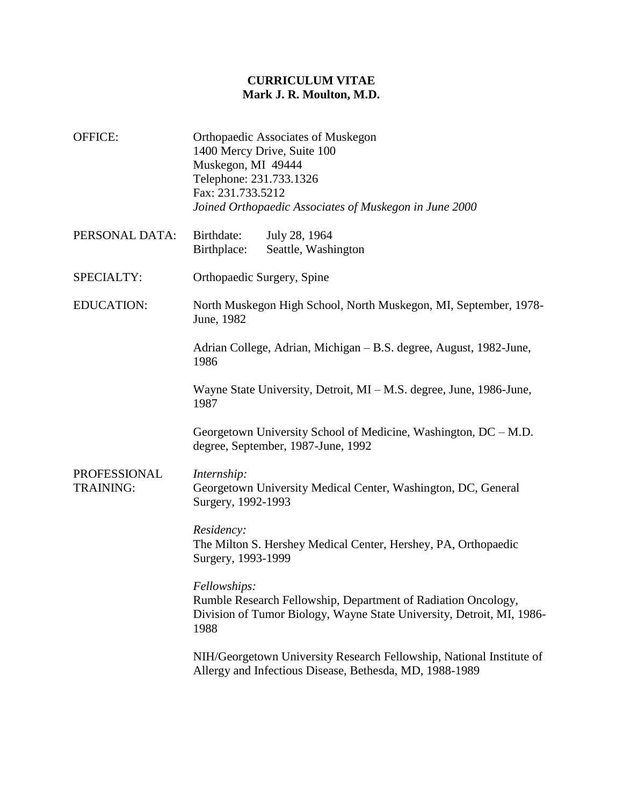## **CURRICULUM VITAE Mark J. R. Moulton, M.D.**

- OFFICE: Orthopaedic Associates of Muskegon 1400 Mercy Drive, Suite 100 Muskegon, MI 49444 Telephone: 231.733.1326 Fax: 231.733.5212 *Joined Orthopaedic Associates of Muskegon in June 2000*
- PERSONAL DATA: Birthdate: July 28, 1964 Birthplace: Seattle, Washington
- SPECIALTY: Orthopaedic Surgery, Spine
- EDUCATION: North Muskegon High School, North Muskegon, MI, September, 1978- June, 1982

Adrian College, Adrian, Michigan – B.S. degree, August, 1982-June, 1986

Wayne State University, Detroit, MI – M.S. degree, June, 1986-June, 1987

Georgetown University School of Medicine, Washington, DC – M.D. degree, September, 1987-June, 1992

PROFESSIONAL TRAINING: *Internship:* Georgetown University Medical Center, Washington, DC, General Surgery, 1992-1993

> *Residency:* The Milton S. Hershey Medical Center, Hershey, PA, Orthopaedic Surgery, 1993-1999

*Fellowships:* Rumble Research Fellowship, Department of Radiation Oncology, Division of Tumor Biology, Wayne State University, Detroit, MI, 1986- 1988

NIH/Georgetown University Research Fellowship, National Institute of Allergy and Infectious Disease, Bethesda, MD, 1988-1989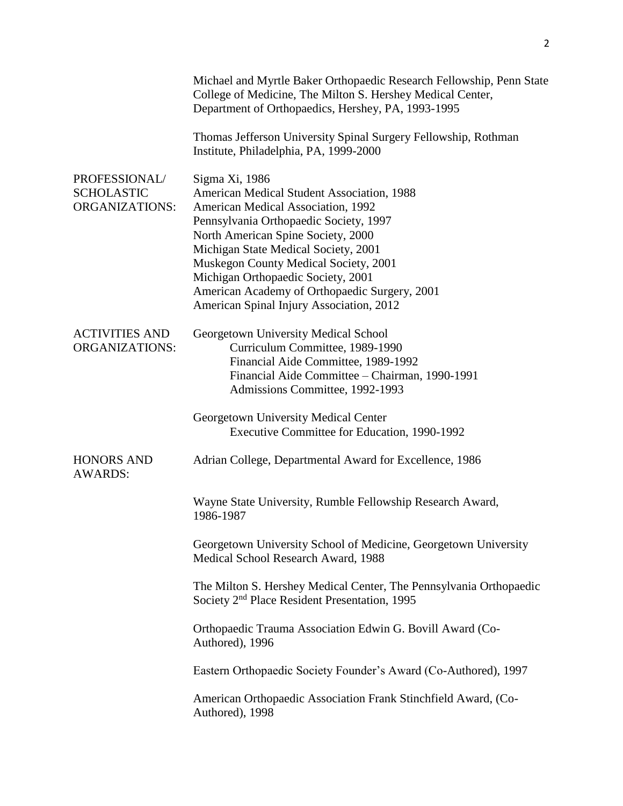|                                                             | Michael and Myrtle Baker Orthopaedic Research Fellowship, Penn State<br>College of Medicine, The Milton S. Hershey Medical Center,<br>Department of Orthopaedics, Hershey, PA, 1993-1995                                                                                                                                                                                                               |
|-------------------------------------------------------------|--------------------------------------------------------------------------------------------------------------------------------------------------------------------------------------------------------------------------------------------------------------------------------------------------------------------------------------------------------------------------------------------------------|
|                                                             | Thomas Jefferson University Spinal Surgery Fellowship, Rothman<br>Institute, Philadelphia, PA, 1999-2000                                                                                                                                                                                                                                                                                               |
| PROFESSIONAL/<br><b>SCHOLASTIC</b><br><b>ORGANIZATIONS:</b> | Sigma Xi, 1986<br>American Medical Student Association, 1988<br>American Medical Association, 1992<br>Pennsylvania Orthopaedic Society, 1997<br>North American Spine Society, 2000<br>Michigan State Medical Society, 2001<br>Muskegon County Medical Society, 2001<br>Michigan Orthopaedic Society, 2001<br>American Academy of Orthopaedic Surgery, 2001<br>American Spinal Injury Association, 2012 |
| <b>ACTIVITIES AND</b><br><b>ORGANIZATIONS:</b>              | Georgetown University Medical School<br>Curriculum Committee, 1989-1990<br>Financial Aide Committee, 1989-1992<br>Financial Aide Committee - Chairman, 1990-1991<br>Admissions Committee, 1992-1993                                                                                                                                                                                                    |
|                                                             | Georgetown University Medical Center<br>Executive Committee for Education, 1990-1992                                                                                                                                                                                                                                                                                                                   |
| <b>HONORS AND</b><br><b>AWARDS:</b>                         | Adrian College, Departmental Award for Excellence, 1986                                                                                                                                                                                                                                                                                                                                                |
|                                                             | Wayne State University, Rumble Fellowship Research Award,<br>1986-1987                                                                                                                                                                                                                                                                                                                                 |
|                                                             | Georgetown University School of Medicine, Georgetown University<br>Medical School Research Award, 1988                                                                                                                                                                                                                                                                                                 |
|                                                             | The Milton S. Hershey Medical Center, The Pennsylvania Orthopaedic<br>Society 2 <sup>nd</sup> Place Resident Presentation, 1995                                                                                                                                                                                                                                                                        |
|                                                             | Orthopaedic Trauma Association Edwin G. Bovill Award (Co-<br>Authored), 1996                                                                                                                                                                                                                                                                                                                           |
|                                                             | Eastern Orthopaedic Society Founder's Award (Co-Authored), 1997                                                                                                                                                                                                                                                                                                                                        |
|                                                             | American Orthopaedic Association Frank Stinchfield Award, (Co-<br>Authored), 1998                                                                                                                                                                                                                                                                                                                      |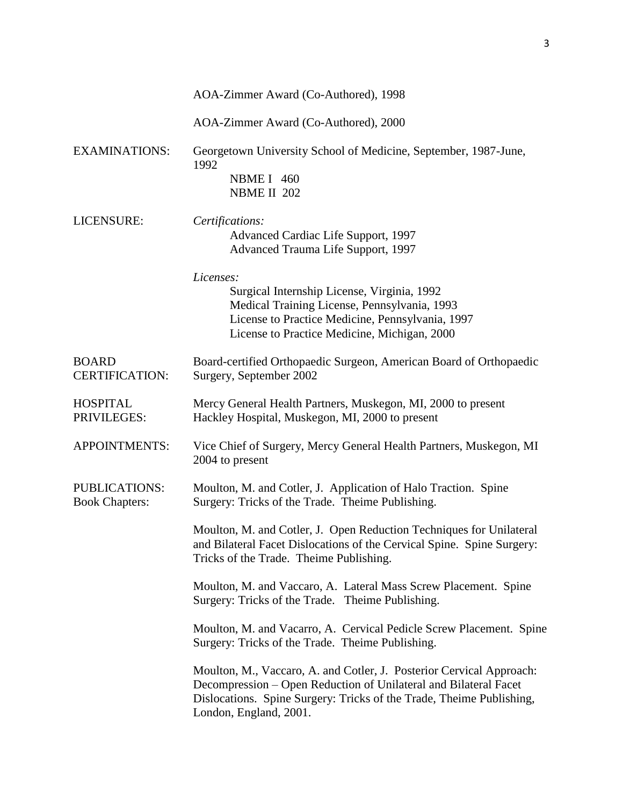|                                               | AOA-Zimmer Award (Co-Authored), 1998                                                                                                                                                                                                       |
|-----------------------------------------------|--------------------------------------------------------------------------------------------------------------------------------------------------------------------------------------------------------------------------------------------|
|                                               | AOA-Zimmer Award (Co-Authored), 2000                                                                                                                                                                                                       |
| <b>EXAMINATIONS:</b>                          | Georgetown University School of Medicine, September, 1987-June,<br>1992<br><b>NBME I</b> 460                                                                                                                                               |
|                                               | NBME II 202                                                                                                                                                                                                                                |
| LICENSURE:                                    | Certifications:<br>Advanced Cardiac Life Support, 1997<br>Advanced Trauma Life Support, 1997                                                                                                                                               |
|                                               | Licenses:<br>Surgical Internship License, Virginia, 1992<br>Medical Training License, Pennsylvania, 1993<br>License to Practice Medicine, Pennsylvania, 1997<br>License to Practice Medicine, Michigan, 2000                               |
| <b>BOARD</b><br><b>CERTIFICATION:</b>         | Board-certified Orthopaedic Surgeon, American Board of Orthopaedic<br>Surgery, September 2002                                                                                                                                              |
| <b>HOSPITAL</b><br>PRIVILEGES:                | Mercy General Health Partners, Muskegon, MI, 2000 to present<br>Hackley Hospital, Muskegon, MI, 2000 to present                                                                                                                            |
| <b>APPOINTMENTS:</b>                          | Vice Chief of Surgery, Mercy General Health Partners, Muskegon, MI<br>2004 to present                                                                                                                                                      |
| <b>PUBLICATIONS:</b><br><b>Book Chapters:</b> | Moulton, M. and Cotler, J. Application of Halo Traction. Spine<br>Surgery: Tricks of the Trade. Theime Publishing.                                                                                                                         |
|                                               | Moulton, M. and Cotler, J. Open Reduction Techniques for Unilateral<br>and Bilateral Facet Dislocations of the Cervical Spine. Spine Surgery:<br>Tricks of the Trade. Theime Publishing.                                                   |
|                                               | Moulton, M. and Vaccaro, A. Lateral Mass Screw Placement. Spine<br>Surgery: Tricks of the Trade. Theime Publishing.                                                                                                                        |
|                                               | Moulton, M. and Vacarro, A. Cervical Pedicle Screw Placement. Spine<br>Surgery: Tricks of the Trade. Theime Publishing.                                                                                                                    |
|                                               | Moulton, M., Vaccaro, A. and Cotler, J. Posterior Cervical Approach:<br>Decompression – Open Reduction of Unilateral and Bilateral Facet<br>Dislocations. Spine Surgery: Tricks of the Trade, Theime Publishing,<br>London, England, 2001. |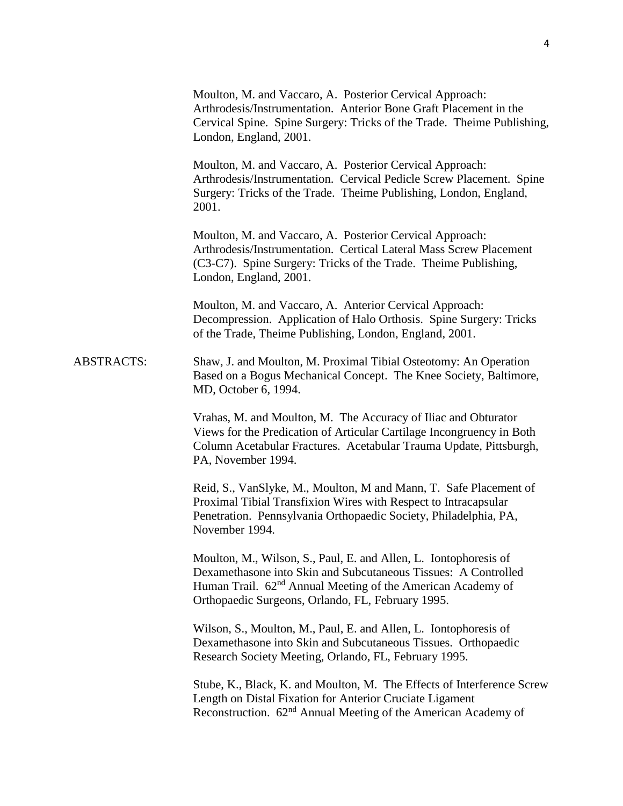|                   | Moulton, M. and Vaccaro, A. Posterior Cervical Approach:<br>Arthrodesis/Instrumentation. Anterior Bone Graft Placement in the<br>Cervical Spine. Spine Surgery: Tricks of the Trade. Theime Publishing,<br>London, England, 2001.                                  |
|-------------------|--------------------------------------------------------------------------------------------------------------------------------------------------------------------------------------------------------------------------------------------------------------------|
|                   | Moulton, M. and Vaccaro, A. Posterior Cervical Approach:<br>Arthrodesis/Instrumentation. Cervical Pedicle Screw Placement. Spine<br>Surgery: Tricks of the Trade. Theime Publishing, London, England,<br>2001.                                                     |
|                   | Moulton, M. and Vaccaro, A. Posterior Cervical Approach:<br>Arthrodesis/Instrumentation. Certical Lateral Mass Screw Placement<br>(C3-C7). Spine Surgery: Tricks of the Trade. Theime Publishing,<br>London, England, 2001.                                        |
|                   | Moulton, M. and Vaccaro, A. Anterior Cervical Approach:<br>Decompression. Application of Halo Orthosis. Spine Surgery: Tricks<br>of the Trade, Theime Publishing, London, England, 2001.                                                                           |
| <b>ABSTRACTS:</b> | Shaw, J. and Moulton, M. Proximal Tibial Osteotomy: An Operation<br>Based on a Bogus Mechanical Concept. The Knee Society, Baltimore,<br>MD, October 6, 1994.                                                                                                      |
|                   | Vrahas, M. and Moulton, M. The Accuracy of Iliac and Obturator<br>Views for the Predication of Articular Cartilage Incongruency in Both<br>Column Acetabular Fractures. Acetabular Trauma Update, Pittsburgh,<br>PA, November 1994.                                |
|                   | Reid, S., VanSlyke, M., Moulton, M and Mann, T. Safe Placement of<br>Proximal Tibial Transfixion Wires with Respect to Intracapsular<br>Penetration. Pennsylvania Orthopaedic Society, Philadelphia, PA,<br>November 1994.                                         |
|                   | Moulton, M., Wilson, S., Paul, E. and Allen, L. Iontophoresis of<br>Dexamethasone into Skin and Subcutaneous Tissues: A Controlled<br>Human Trail. 62 <sup>nd</sup> Annual Meeting of the American Academy of<br>Orthopaedic Surgeons, Orlando, FL, February 1995. |
|                   | Wilson, S., Moulton, M., Paul, E. and Allen, L. Iontophoresis of<br>Dexamethasone into Skin and Subcutaneous Tissues. Orthopaedic<br>Research Society Meeting, Orlando, FL, February 1995.                                                                         |
|                   | Stube, K., Black, K. and Moulton, M. The Effects of Interference Screw<br>Length on Distal Fixation for Anterior Cruciate Ligament<br>Reconstruction. 62 <sup>nd</sup> Annual Meeting of the American Academy of                                                   |
|                   |                                                                                                                                                                                                                                                                    |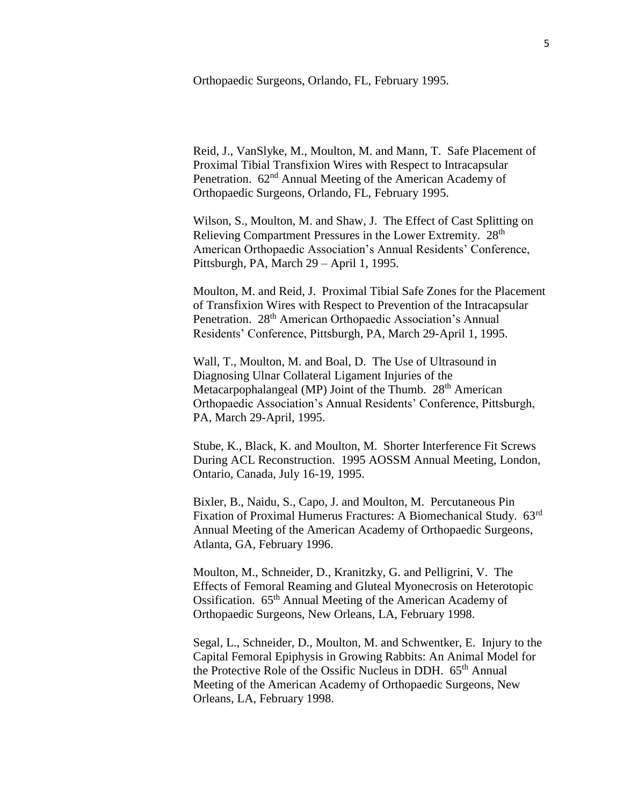Orthopaedic Surgeons, Orlando, FL, February 1995.

Reid, J., VanSlyke, M., Moulton, M. and Mann, T. Safe Placement of Proximal Tibial Transfixion Wires with Respect to Intracapsular Penetration. 62<sup>nd</sup> Annual Meeting of the American Academy of Orthopaedic Surgeons, Orlando, FL, February 1995.

Wilson, S., Moulton, M. and Shaw, J. The Effect of Cast Splitting on Relieving Compartment Pressures in the Lower Extremity. 28<sup>th</sup> American Orthopaedic Association's Annual Residents' Conference, Pittsburgh, PA, March 29 – April 1, 1995.

Moulton, M. and Reid, J. Proximal Tibial Safe Zones for the Placement of Transfixion Wires with Respect to Prevention of the Intracapsular Penetration. 28<sup>th</sup> American Orthopaedic Association's Annual Residents' Conference, Pittsburgh, PA, March 29-April 1, 1995.

Wall, T., Moulton, M. and Boal, D. The Use of Ultrasound in Diagnosing Ulnar Collateral Ligament Injuries of the Metacarpophalangeal (MP) Joint of the Thumb.  $28<sup>th</sup>$  American Orthopaedic Association's Annual Residents' Conference, Pittsburgh, PA, March 29-April, 1995.

Stube, K., Black, K. and Moulton, M. Shorter Interference Fit Screws During ACL Reconstruction. 1995 AOSSM Annual Meeting, London, Ontario, Canada, July 16-19, 1995.

Bixler, B., Naidu, S., Capo, J. and Moulton, M. Percutaneous Pin Fixation of Proximal Humerus Fractures: A Biomechanical Study. 63rd Annual Meeting of the American Academy of Orthopaedic Surgeons, Atlanta, GA, February 1996.

Moulton, M., Schneider, D., Kranitzky, G. and Pelligrini, V. The Effects of Femoral Reaming and Gluteal Myonecrosis on Heterotopic Ossification. 65th Annual Meeting of the American Academy of Orthopaedic Surgeons, New Orleans, LA, February 1998.

Segal, L., Schneider, D., Moulton, M. and Schwentker, E. Injury to the Capital Femoral Epiphysis in Growing Rabbits: An Animal Model for the Protective Role of the Ossific Nucleus in DDH. 65<sup>th</sup> Annual Meeting of the American Academy of Orthopaedic Surgeons, New Orleans, LA, February 1998.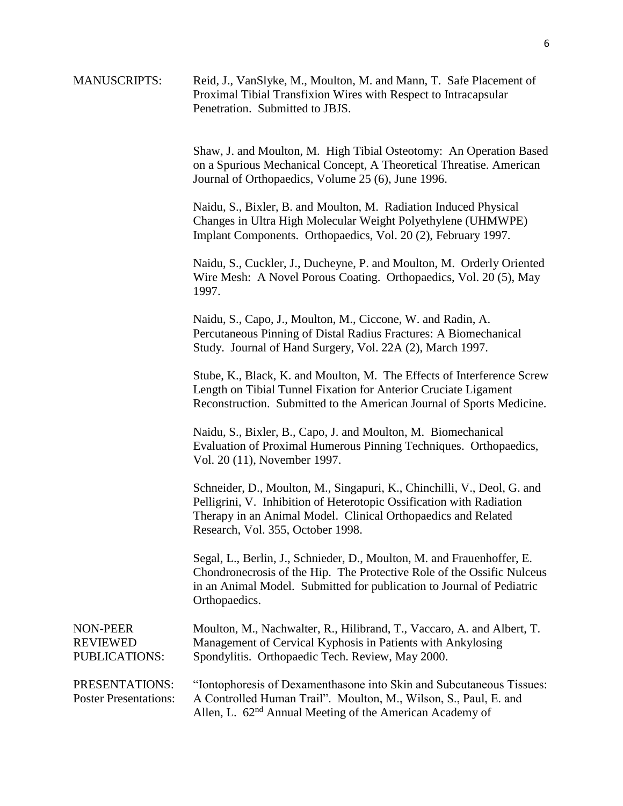| <b>MANUSCRIPTS:</b>                            | Reid, J., VanSlyke, M., Moulton, M. and Mann, T. Safe Placement of<br>Proximal Tibial Transfixion Wires with Respect to Intracapsular<br>Penetration. Submitted to JBJS.                                                                              |
|------------------------------------------------|-------------------------------------------------------------------------------------------------------------------------------------------------------------------------------------------------------------------------------------------------------|
|                                                | Shaw, J. and Moulton, M. High Tibial Osteotomy: An Operation Based<br>on a Spurious Mechanical Concept, A Theoretical Threatise. American<br>Journal of Orthopaedics, Volume 25 (6), June 1996.                                                       |
|                                                | Naidu, S., Bixler, B. and Moulton, M. Radiation Induced Physical<br>Changes in Ultra High Molecular Weight Polyethylene (UHMWPE)<br>Implant Components. Orthopaedics, Vol. 20 (2), February 1997.                                                     |
|                                                | Naidu, S., Cuckler, J., Ducheyne, P. and Moulton, M. Orderly Oriented<br>Wire Mesh: A Novel Porous Coating. Orthopaedics, Vol. 20(5), May<br>1997.                                                                                                    |
|                                                | Naidu, S., Capo, J., Moulton, M., Ciccone, W. and Radin, A.<br>Percutaneous Pinning of Distal Radius Fractures: A Biomechanical<br>Study. Journal of Hand Surgery, Vol. 22A (2), March 1997.                                                          |
|                                                | Stube, K., Black, K. and Moulton, M. The Effects of Interference Screw<br>Length on Tibial Tunnel Fixation for Anterior Cruciate Ligament<br>Reconstruction. Submitted to the American Journal of Sports Medicine.                                    |
|                                                | Naidu, S., Bixler, B., Capo, J. and Moulton, M. Biomechanical<br>Evaluation of Proximal Humerous Pinning Techniques. Orthopaedics,<br>Vol. 20 (11), November 1997.                                                                                    |
|                                                | Schneider, D., Moulton, M., Singapuri, K., Chinchilli, V., Deol, G. and<br>Pelligrini, V. Inhibition of Heterotopic Ossification with Radiation<br>Therapy in an Animal Model. Clinical Orthopaedics and Related<br>Research, Vol. 355, October 1998. |
|                                                | Segal, L., Berlin, J., Schnieder, D., Moulton, M. and Frauenhoffer, E.<br>Chondronecrosis of the Hip. The Protective Role of the Ossific Nulceus<br>in an Animal Model. Submitted for publication to Journal of Pediatric<br>Orthopaedics.            |
| NON-PEER<br><b>REVIEWED</b><br>PUBLICATIONS:   | Moulton, M., Nachwalter, R., Hilibrand, T., Vaccaro, A. and Albert, T.<br>Management of Cervical Kyphosis in Patients with Ankylosing<br>Spondylitis. Orthopaedic Tech. Review, May 2000.                                                             |
| PRESENTATIONS:<br><b>Poster Presentations:</b> | "Iontophoresis of Dexamenthasone into Skin and Subcutaneous Tissues:<br>A Controlled Human Trail". Moulton, M., Wilson, S., Paul, E. and<br>Allen, L. 62 <sup>nd</sup> Annual Meeting of the American Academy of                                      |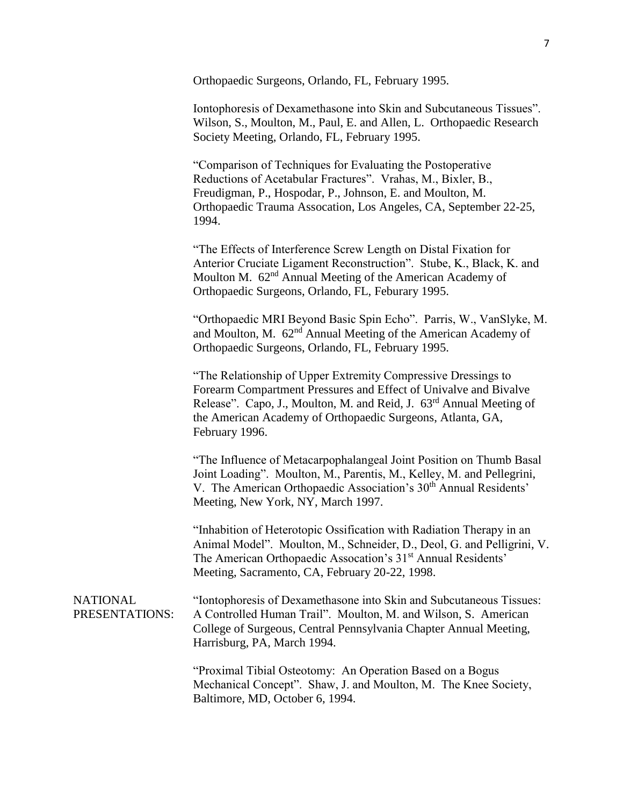Orthopaedic Surgeons, Orlando, FL, February 1995.

Iontophoresis of Dexamethasone into Skin and Subcutaneous Tissues". Wilson, S., Moulton, M., Paul, E. and Allen, L. Orthopaedic Research Society Meeting, Orlando, FL, February 1995.

"Comparison of Techniques for Evaluating the Postoperative Reductions of Acetabular Fractures". Vrahas, M., Bixler, B., Freudigman, P., Hospodar, P., Johnson, E. and Moulton, M. Orthopaedic Trauma Assocation, Los Angeles, CA, September 22-25, 1994.

"The Effects of Interference Screw Length on Distal Fixation for Anterior Cruciate Ligament Reconstruction". Stube, K., Black, K. and Moulton M. 62<sup>nd</sup> Annual Meeting of the American Academy of Orthopaedic Surgeons, Orlando, FL, Feburary 1995.

"Orthopaedic MRI Beyond Basic Spin Echo". Parris, W., VanSlyke, M. and Moulton, M. 62<sup>nd</sup> Annual Meeting of the American Academy of Orthopaedic Surgeons, Orlando, FL, February 1995.

"The Relationship of Upper Extremity Compressive Dressings to Forearm Compartment Pressures and Effect of Univalve and Bivalve Release". Capo, J., Moulton, M. and Reid, J. 63<sup>rd</sup> Annual Meeting of the American Academy of Orthopaedic Surgeons, Atlanta, GA, February 1996.

"The Influence of Metacarpophalangeal Joint Position on Thumb Basal Joint Loading". Moulton, M., Parentis, M., Kelley, M. and Pellegrini, V. The American Orthopaedic Association's 30<sup>th</sup> Annual Residents' Meeting, New York, NY, March 1997.

"Inhabition of Heterotopic Ossification with Radiation Therapy in an Animal Model". Moulton, M., Schneider, D., Deol, G. and Pelligrini, V. The American Orthopaedic Assocation's 31<sup>st</sup> Annual Residents' Meeting, Sacramento, CA, February 20-22, 1998.

**NATIONAL** PRESENTATIONS: "Iontophoresis of Dexamethasone into Skin and Subcutaneous Tissues: A Controlled Human Trail". Moulton, M. and Wilson, S. American College of Surgeous, Central Pennsylvania Chapter Annual Meeting, Harrisburg, PA, March 1994.

> "Proximal Tibial Osteotomy: An Operation Based on a Bogus Mechanical Concept". Shaw, J. and Moulton, M. The Knee Society, Baltimore, MD, October 6, 1994.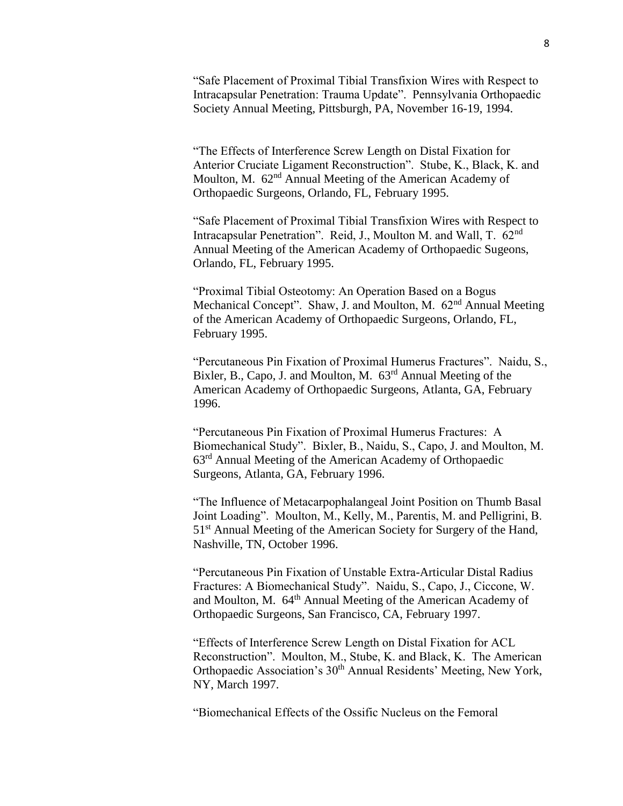"Safe Placement of Proximal Tibial Transfixion Wires with Respect to Intracapsular Penetration: Trauma Update". Pennsylvania Orthopaedic Society Annual Meeting, Pittsburgh, PA, November 16-19, 1994.

"The Effects of Interference Screw Length on Distal Fixation for Anterior Cruciate Ligament Reconstruction". Stube, K., Black, K. and Moulton, M. 62<sup>nd</sup> Annual Meeting of the American Academy of Orthopaedic Surgeons, Orlando, FL, February 1995.

"Safe Placement of Proximal Tibial Transfixion Wires with Respect to Intracapsular Penetration". Reid, J., Moulton M. and Wall, T. 62<sup>nd</sup> Annual Meeting of the American Academy of Orthopaedic Sugeons, Orlando, FL, February 1995.

"Proximal Tibial Osteotomy: An Operation Based on a Bogus Mechanical Concept". Shaw, J. and Moulton, M. 62<sup>nd</sup> Annual Meeting of the American Academy of Orthopaedic Surgeons, Orlando, FL, February 1995.

"Percutaneous Pin Fixation of Proximal Humerus Fractures". Naidu, S., Bixler, B., Capo, J. and Moulton, M.  $63<sup>rd</sup>$  Annual Meeting of the American Academy of Orthopaedic Surgeons, Atlanta, GA, February 1996.

"Percutaneous Pin Fixation of Proximal Humerus Fractures: A Biomechanical Study". Bixler, B., Naidu, S., Capo, J. and Moulton, M. 63rd Annual Meeting of the American Academy of Orthopaedic Surgeons, Atlanta, GA, February 1996.

"The Influence of Metacarpophalangeal Joint Position on Thumb Basal Joint Loading". Moulton, M., Kelly, M., Parentis, M. and Pelligrini, B. 51<sup>st</sup> Annual Meeting of the American Society for Surgery of the Hand, Nashville, TN, October 1996.

"Percutaneous Pin Fixation of Unstable Extra-Articular Distal Radius Fractures: A Biomechanical Study". Naidu, S., Capo, J., Ciccone, W. and Moulton, M. 64<sup>th</sup> Annual Meeting of the American Academy of Orthopaedic Surgeons, San Francisco, CA, February 1997.

"Effects of Interference Screw Length on Distal Fixation for ACL Reconstruction". Moulton, M., Stube, K. and Black, K. The American Orthopaedic Association's 30<sup>th</sup> Annual Residents' Meeting, New York, NY, March 1997.

"Biomechanical Effects of the Ossific Nucleus on the Femoral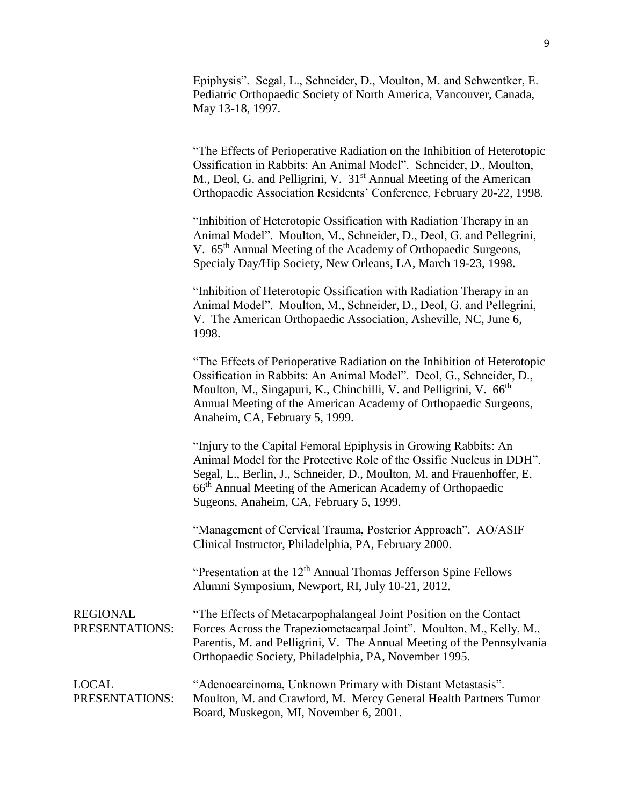Epiphysis". Segal, L., Schneider, D., Moulton, M. and Schwentker, E. Pediatric Orthopaedic Society of North America, Vancouver, Canada, May 13-18, 1997.

"The Effects of Perioperative Radiation on the Inhibition of Heterotopic Ossification in Rabbits: An Animal Model". Schneider, D., Moulton, M., Deol, G. and Pelligrini, V. 31<sup>st</sup> Annual Meeting of the American Orthopaedic Association Residents' Conference, February 20-22, 1998.

"Inhibition of Heterotopic Ossification with Radiation Therapy in an Animal Model". Moulton, M., Schneider, D., Deol, G. and Pellegrini, V. 65<sup>th</sup> Annual Meeting of the Academy of Orthopaedic Surgeons, Specialy Day/Hip Society, New Orleans, LA, March 19-23, 1998.

"Inhibition of Heterotopic Ossification with Radiation Therapy in an Animal Model". Moulton, M., Schneider, D., Deol, G. and Pellegrini, V. The American Orthopaedic Association, Asheville, NC, June 6, 1998.

"The Effects of Perioperative Radiation on the Inhibition of Heterotopic Ossification in Rabbits: An Animal Model". Deol, G., Schneider, D., Moulton, M., Singapuri, K., Chinchilli, V. and Pelligrini, V. 66<sup>th</sup> Annual Meeting of the American Academy of Orthopaedic Surgeons, Anaheim, CA, February 5, 1999.

"Injury to the Capital Femoral Epiphysis in Growing Rabbits: An Animal Model for the Protective Role of the Ossific Nucleus in DDH". Segal, L., Berlin, J., Schneider, D., Moulton, M. and Frauenhoffer, E. 66th Annual Meeting of the American Academy of Orthopaedic Sugeons, Anaheim, CA, February 5, 1999.

"Management of Cervical Trauma, Posterior Approach". AO/ASIF Clinical Instructor, Philadelphia, PA, February 2000.

"Presentation at the  $12<sup>th</sup>$  Annual Thomas Jefferson Spine Fellows Alumni Symposium, Newport, RI, July 10-21, 2012.

| REGIONAL       | "The Effects of Metacarpophalangeal Joint Position on the Contact"     |
|----------------|------------------------------------------------------------------------|
| PRESENTATIONS: | Forces Across the Trapeziometacarpal Joint". Moulton, M., Kelly, M.,   |
|                | Parentis, M. and Pelligrini, V. The Annual Meeting of the Pennsylvania |
|                | Orthopaedic Society, Philadelphia, PA, November 1995.                  |
|                |                                                                        |

| <b>LOCAL</b>   | "Adenocarcinoma, Unknown Primary with Distant Metastasis".       |
|----------------|------------------------------------------------------------------|
| PRESENTATIONS: | Moulton, M. and Crawford, M. Mercy General Health Partners Tumor |
|                | Board, Muskegon, MI, November 6, 2001.                           |